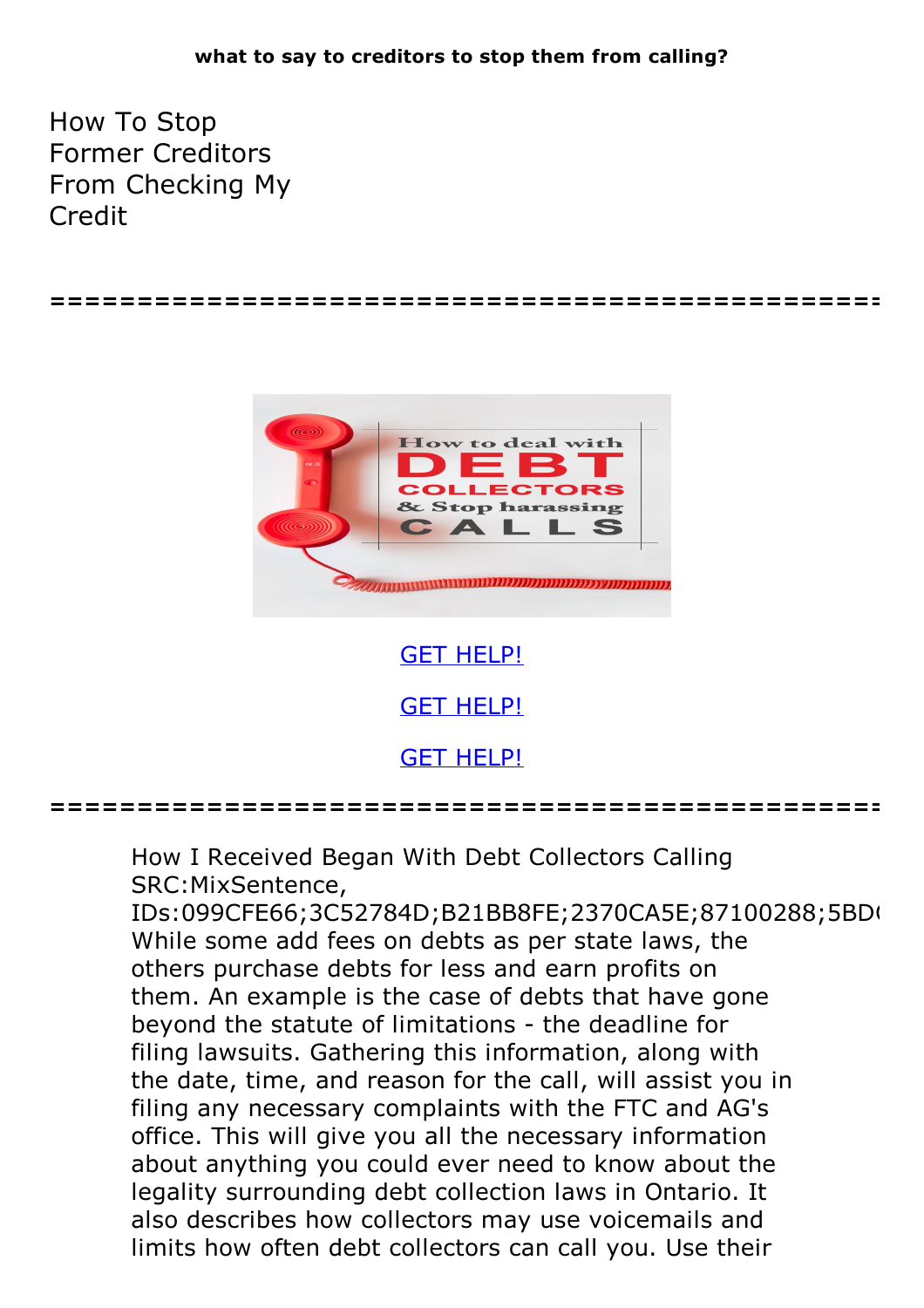How To Stop Former Creditors From Checking My Credit

**================================================**



GET [HELP!](https://runpdf.xyz/pdf) GET [HELP!](https://runpdf.xyz/pdf)

GET [HELP!](https://runpdf.xyz/pdf)

**================================================**

How I Received Began With Debt Collectors Calling SRC:MixSentence, IDs:099CFE66;3C52784D;B21BB8FE;2370CA5E;87100288;5BD( While some add fees on debts as per state laws, the others purchase debts for less and earn profits on them. An example is the case of debts that have gone beyond the statute of limitations - the deadline for filing lawsuits. Gathering this information, along with the date, time, and reason for the call, will assist you in filing any necessary complaints with the FTC and AG's office. This will give you all the necessary information about anything you could ever need to know about the legality surrounding debt collection laws in Ontario. It also describes how collectors may use voicemails and limits how often debt collectors can call you. Use their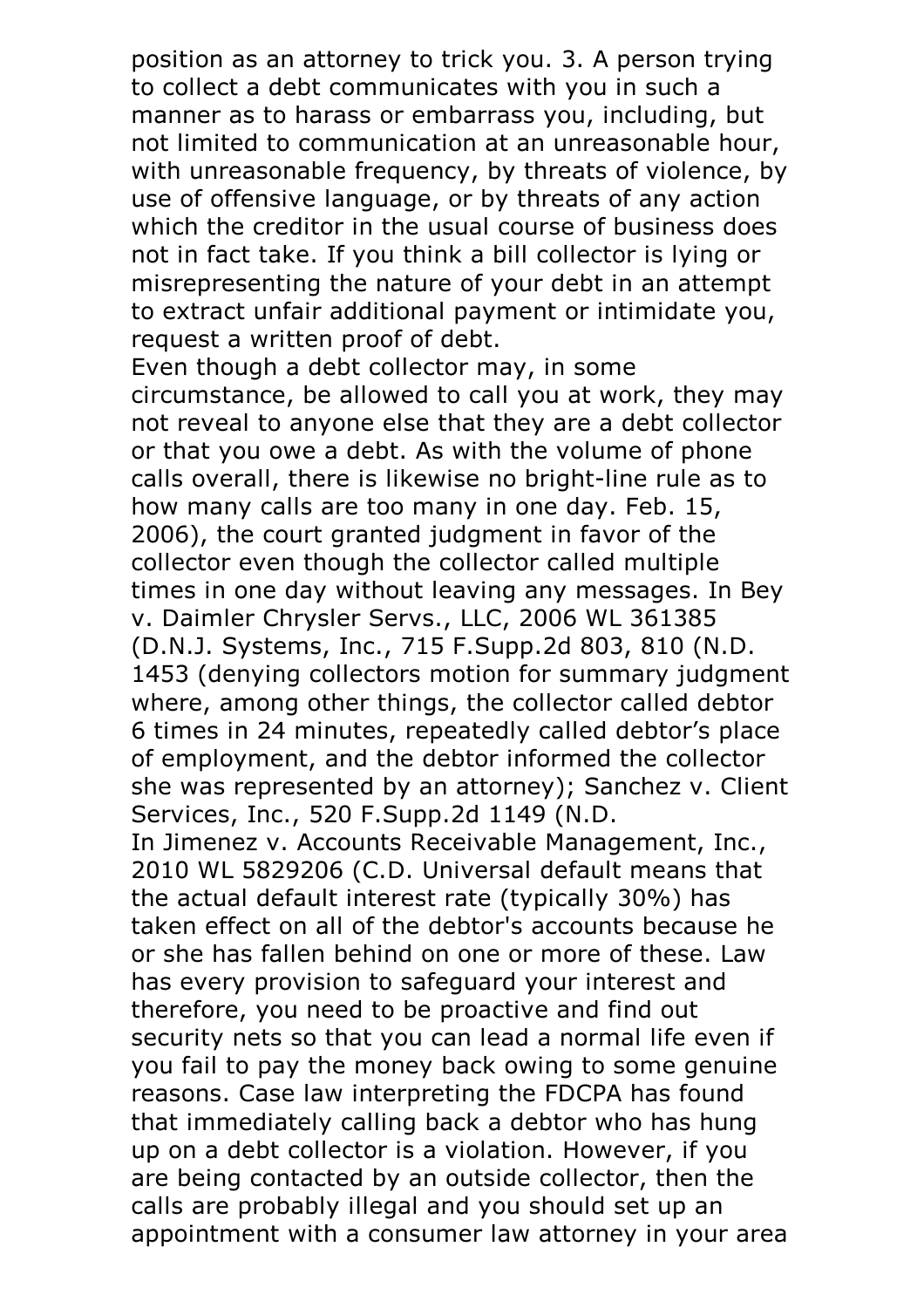position as an attorney to trick you. 3. A person trying to collect a debt communicates with you in such a manner as to harass or embarrass you, including, but not limited to communication at an unreasonable hour, with unreasonable frequency, by threats of violence, by use of offensive language, or by threats of any action which the creditor in the usual course of business does not in fact take. If you think a bill collector is lying or misrepresenting the nature of your debt in an attempt to extract unfair additional payment or intimidate you, request <sup>a</sup> written proof of debt. Even though <sup>a</sup> debt collector may, in some

circumstance, be allowed to call you at work, they may not reveal to anyone else that they are a debt collector or that you owe a debt. As with the volume of phone calls overall, there is likewise no bright-line rule as to how many calls are too many in one day. Feb. 15, 2006), the court granted judgment in favor of the collector even though the collector called multiple times in one day without leaving any messages. In Bey v. Daimler Chrysler Servs., LLC, 2006 WL 361385 (D.N.J. Systems, Inc., <sup>715</sup> F.Supp.2d 803, <sup>810</sup> (N.D. <sup>1453</sup> (denying collectors motion for summary judgment where, among other things, the collector called debtor 6 times in 24 minutes, repeatedly called debtor's place of employment, and the debtor informed the collector she was represented by an attorney); Sanchez v. Client Services, Inc., 520 F.Supp.2d 1149 (N.D.

In Jimenez v. Accounts Receivable Management, Inc., 2010 WL 5829206 (C.D. Universal default means that the actual default interest rate (typically 30%) has taken effect on all of the debtor's accounts because he or she has fallen behind on one or more of these. Law has every provision to safeguard your interest and therefore, you need to be proactive and find out security nets so that you can lead a normal life even if you fail to pay the money back owing to some genuine reasons. Case law interpreting the FDCPA has found that immediately calling back a debtor who has hung up on a debt collector is a violation. However, if you are being contacted by an outside collector, then the calls are probably illegal and you should set up an appointment with a consumer law attorney in your area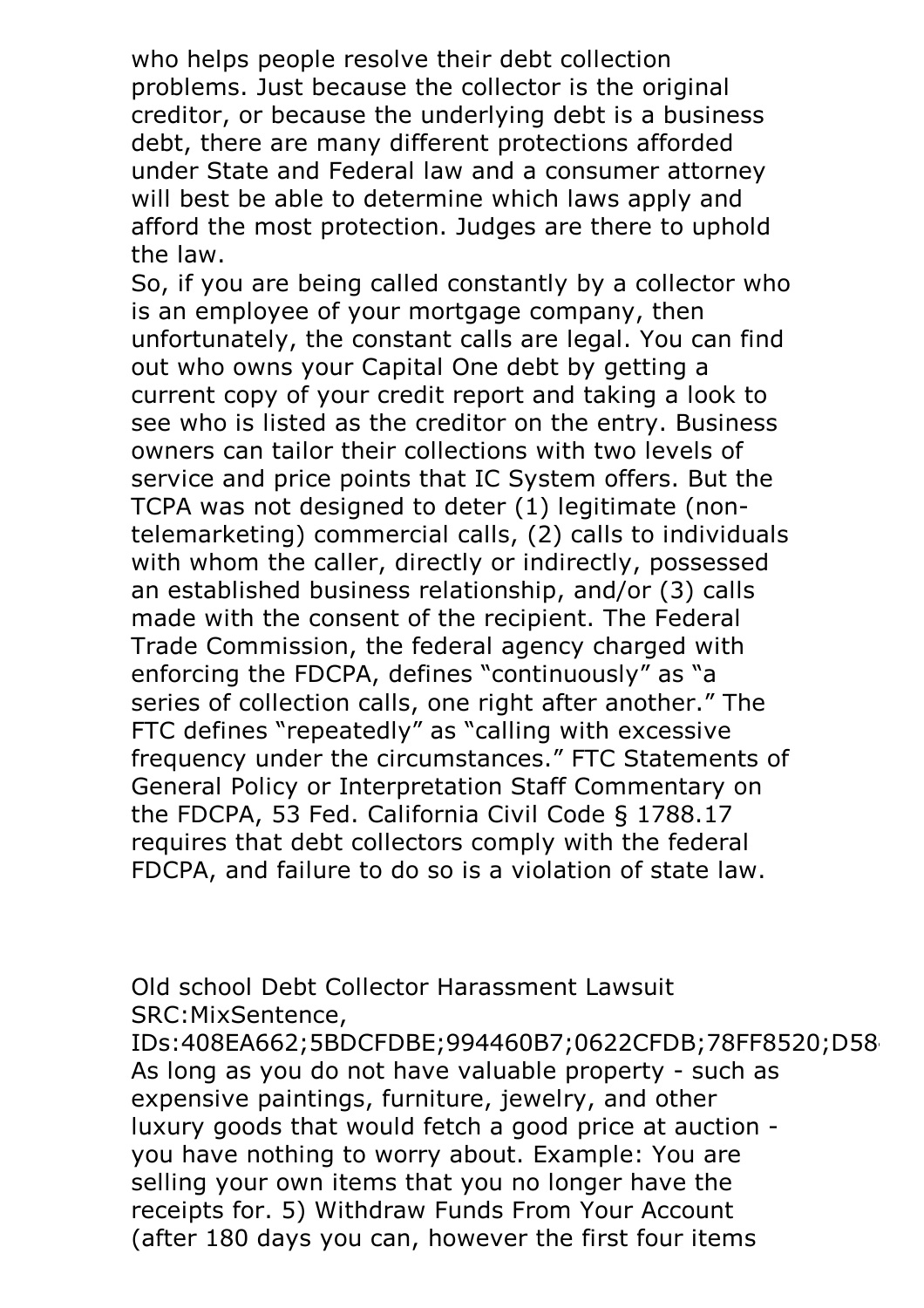who helps people resolve their debt collection problems. Just because the collector is the original creditor, or because the underlying debt is a business debt, there are many different protections afforded under State and Federal law and a consumer attorney will best be able to determine which laws apply and afford the most protection. Judges are there to uphold

the law.<br>So, if you are being called constantly by a collector who is an employee of your mortgage company, then unfortunately, the constant calls are legal. You can find out who owns your Capital One debt by getting a current copy of your credit report and taking a look to see who is listed as the creditor on the entry. Business owners can tailor their collections with two levels of service and price points that IC System offers. But the TCPA was not designed to deter (1) legitimate (nontelemarketing) commercial calls, (2) calls to individuals with whom the caller, directly or indirectly, possessed an established business relationship, and/or (3) calls made with the consent of the recipient. The Federal Trade Commission, the federal agency charged with enforcing the FDCPA, defines "continuously" as "a series of collection calls, one right after another." The FTC defines "repeatedly" as "calling with excessive frequency under the circumstances." FTC Statements of General Policy or Interpretation Staff Commentary on the FDCPA, 53 Fed. California Civil Code § 1788.17 requires that debt collectors comply with the federal FDCPA, and failure to do so is a violation of state law.

Old school Debt Collector Harassment Lawsuit SRC:MixSentence,

IDs:408EA662;5BDCFDBE;994460B7;0622CFDB;78FF8520;D58 As long as you do not have valuable property - such as expensive paintings, furniture, jewelry, and other luxury goods that would fetch a good price at auction you have nothing to worry about. Example: You are selling your own items that you no longer have the receipts for. 5) Withdraw Funds From Your Account (after 180 days you can, however the first four items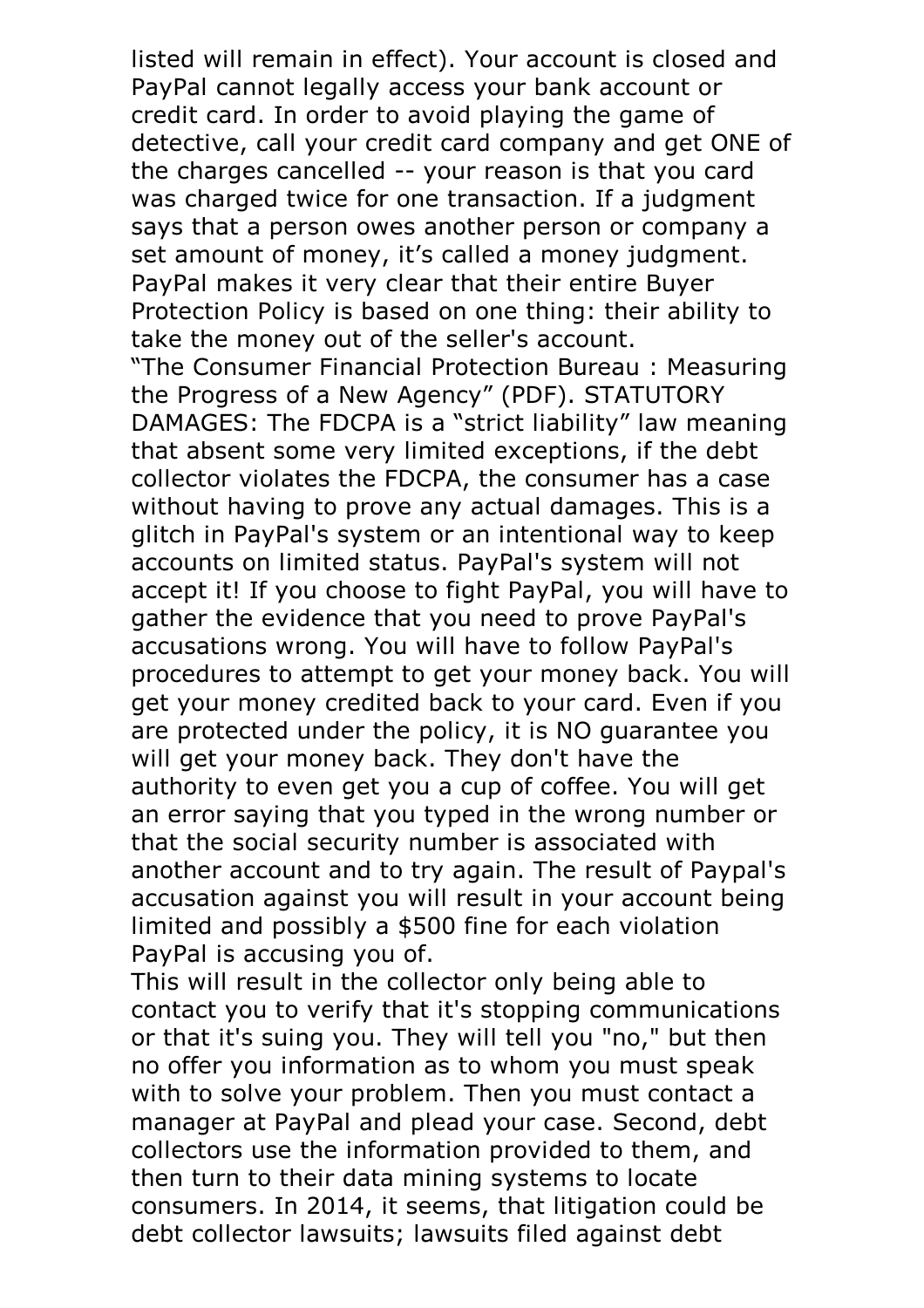listed will remain in effect). Your account is closed and PayPal cannot legally access your bank account or credit card. In order to avoid playing the game of detective, call your credit card company and get ONE of the charges cancelled -- your reason is that you card was charged twice for one transaction. If a judgment says that a person owes another person or company a set amount of money, it's called a money judgment. PayPal makes it very clear that their entire Buyer Protection Policy is based on one thing: their ability to take the money out of the seller's account. "The Consumer Financial Protection Bureau : Measuring the Progress of a New Agency" (PDF). STATUTORY DAMAGES: The FDCPA is a "strict liability" law meaning that absent some very limited exceptions, if the debt collector violates the FDCPA, the consumer has a case without having to prove any actual damages. This is a glitch in PayPal's system or an intentional way to keep accounts on limited status. PayPal's system will not accept it! If you choose to fight PayPal, you will have to gather the evidence that you need to prove PayPal's accusations wrong. You will have to follow PayPal's procedures to attempt to get your money back. You will get your money credited back to your card. Even if you are protected under the policy, it is NO guarantee you will get your money back. They don't have the authority to even get you a cup of coffee. You will get an error saying that you typed in the wrong number or that the social security number is associated with another account and to try again. The result of Paypal's accusation against you will result in your account being limited and possibly a \$500 fine for each violation PayPal is accusing you of.<br>This will result in the collector only being able to

contact you to verify that it's stopping communications or that it's suing you. They will tell you "no," but then no offer you information as to whom you must speak with to solve your problem. Then you must contact a manager at PayPal and plead your case. Second, debt collectors use the information provided to them, and then turn to their data mining systems to locate consumers. In 2014, it seems, that litigation could be debt collector lawsuits; lawsuits filed against debt